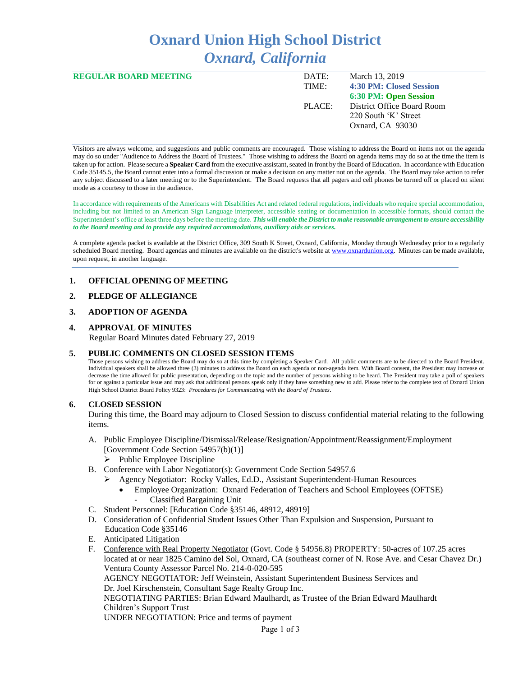# **Oxnard Union High School District** *Oxnard, California*

| <b>REGULAR BOARD MEETING</b> | DATE:  | March 13, 2019             |
|------------------------------|--------|----------------------------|
|                              | TIME:  | 4:30 PM: Closed Session    |
|                              |        | 6:30 PM: Open Session      |
|                              | PLACE: | District Office Board Room |
|                              |        | 220 South 'K' Street       |
|                              |        | Oxnard, CA 93030           |
|                              |        |                            |

Visitors are always welcome, and suggestions and public comments are encouraged. Those wishing to address the Board on items not on the agenda may do so under "Audience to Address the Board of Trustees." Those wishing to address the Board on agenda items may do so at the time the item is taken up for action. Please secure a **Speaker Card** from the executive assistant, seated in front by the Board of Education. In accordance with Education Code 35145.5, the Board cannot enter into a formal discussion or make a decision on any matter not on the agenda. The Board may take action to refer any subject discussed to a later meeting or to the Superintendent. The Board requests that all pagers and cell phones be turned off or placed on silent mode as a courtesy to those in the audience.

In accordance with requirements of the Americans with Disabilities Act and related federal regulations, individuals who require special accommodation, including but not limited to an American Sign Language interpreter, accessible seating or documentation in accessible formats, should contact the Superintendent's office at least three days before the meeting date. *This will enable the District to make reasonable arrangement to ensure accessibility to the Board meeting and to provide any required accommodations, auxiliary aids or services.* 

A complete agenda packet is available at the District Office, 309 South K Street, Oxnard, California, Monday through Wednesday prior to a regularly scheduled Board meeting. Board agendas and minutes are available on the district's website a[t www.ox](http://www.o/)nardunion.org.Minutes can be made available, upon request, in another language.

### **1. OFFICIAL OPENING OF MEETING**

## **2. PLEDGE OF ALLEGIANCE**

### **3. ADOPTION OF AGENDA**

#### **4. APPROVAL OF MINUTES**

Regular Board Minutes dated February 27, 2019

### **5. PUBLIC COMMENTS ON CLOSED SESSION ITEMS**

Those persons wishing to address the Board may do so at this time by completing a Speaker Card. All public comments are to be directed to the Board President. Individual speakers shall be allowed three (3) minutes to address the Board on each agenda or non-agenda item. With Board consent, the President may increase or decrease the time allowed for public presentation, depending on the topic and the number of persons wishing to be heard. The President may take a poll of speakers for or against a particular issue and may ask that additional persons speak only if they have something new to add. Please refer to the complete text of Oxnard Union High School District Board Policy 9323: *Procedures for Communicating with the Board of Trustees*.

### **6. CLOSED SESSION**

During this time, the Board may adjourn to Closed Session to discuss confidential material relating to the following items.

- A. Public Employee Discipline/Dismissal/Release/Resignation/Appointment/Reassignment/Employment [Government Code Section 54957(b)(1)]
	- $\triangleright$  Public Employee Discipline
- B. Conference with Labor Negotiator(s): Government Code Section 54957.6
	- ➢ Agency Negotiator: Rocky Valles, Ed.D., Assistant Superintendent-Human Resources
		- Employee Organization: Oxnard Federation of Teachers and School Employees (OFTSE) - Classified Bargaining Unit
- C. Student Personnel: [Education Code §35146, 48912, 48919]
- D. Consideration of Confidential Student Issues Other Than Expulsion and Suspension, Pursuant to Education Code §35146
- E. Anticipated Litigation
- F. Conference with Real Property Negotiator (Govt. Code § 54956.8) PROPERTY: 50-acres of 107.25 acres located at or near 1825 Camino del Sol, Oxnard, CA (southeast corner of N. Rose Ave. and Cesar Chavez Dr.) Ventura County Assessor Parcel No. 214-0-020-595

AGENCY NEGOTIATOR: Jeff Weinstein, Assistant Superintendent Business Services and Dr. Joel Kirschenstein, Consultant Sage Realty Group Inc.

NEGOTIATING PARTIES: Brian Edward Maulhardt, as Trustee of the Brian Edward Maulhardt Children's Support Trust

UNDER NEGOTIATION: Price and terms of payment

Page 1 of 3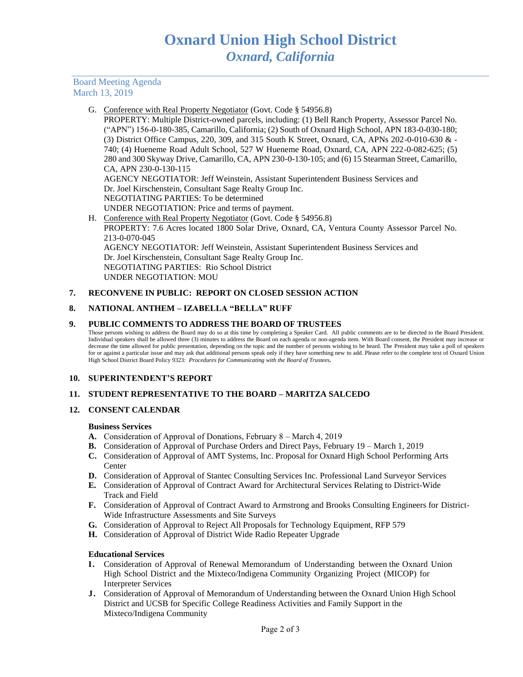Board Meeting Agenda March 13, 2019

G. Conference with Real Property Negotiator (Govt. Code § 54956.8)

PROPERTY: Multiple District-owned parcels, including: (1) Bell Ranch Property, Assessor Parcel No. ("APN") 156-0-180-385, Camarillo, California; (2) South of Oxnard High School, APN 183-0-030-180; (3) District Office Campus, 220, 309, and 315 South K Street, Oxnard, CA, APNs 202-0-010-630 & - 740; (4) Hueneme Road Adult School, 527 W Hueneme Road, Oxnard, CA, APN 222-0-082-625; (5) 280 and 300 Skyway Drive, Camarillo, CA, APN 230-0-130-105; and (6) 15 Stearman Street, Camarillo, CA, APN 230-0-130-115

AGENCY NEGOTIATOR: Jeff Weinstein, Assistant Superintendent Business Services and Dr. Joel Kirschenstein, Consultant Sage Realty Group Inc. NEGOTIATING PARTIES: To be determined UNDER NEGOTIATION: Price and terms of payment.

H. Conference with Real Property Negotiator (Govt. Code § 54956.8) PROPERTY: 7.6 Acres located 1800 Solar Drive, Oxnard, CA, Ventura County Assessor Parcel No. 213-0-070-045 AGENCY NEGOTIATOR: Jeff Weinstein, Assistant Superintendent Business Services and Dr. Joel Kirschenstein, Consultant Sage Realty Group Inc. NEGOTIATING PARTIES: Rio School District UNDER NEGOTIATION: MOU

## **7. RECONVENE IN PUBLIC: REPORT ON CLOSED SESSION ACTION**

## **8. NATIONAL ANTHEM – IZABELLA "BELLA" RUFF**

### **9. PUBLIC COMMENTS TO ADDRESS THE BOARD OF TRUSTEES**

Those persons wishing to address the Board may do so at this time by completing a Speaker Card. All public comments are to be directed to the Board President. Individual speakers shall be allowed three (3) minutes to address the Board on each agenda or non-agenda item. With Board consent, the President may increase or decrease the time allowed for public presentation, depending on the topic and the number of persons wishing to be heard. The President may take a poll of speakers for or against a particular issue and may ask that additional persons speak only if they have something new to add. Please refer to the complete text of Oxnard Union High School District Board Policy 9323: *Procedures for Communicating with the Board of Trustees.*

### **10. SUPERINTENDENT'S REPORT**

### **11. STUDENT REPRESENTATIVE TO THE BOARD – MARITZA SALCEDO**

### **12. CONSENT CALENDAR**

### **Business Services**

- **A.** Consideration of Approval of Donations, February 8 March 4, 2019
- **B.** Consideration of Approval of Purchase Orders and Direct Pays, February 19 March 1, 2019
- **C.** Consideration of Approval of AMT Systems, Inc. Proposal for Oxnard High School Performing Arts Center
- **D.** Consideration of Approval of Stantec Consulting Services Inc. Professional Land Surveyor Services
- **E.** Consideration of Approval of Contract Award for Architectural Services Relating to District-Wide Track and Field
- **F.** Consideration of Approval of Contract Award to Armstrong and Brooks Consulting Engineers for District-Wide Infrastructure Assessments and Site Surveys
- **G.** Consideration of Approval to Reject All Proposals for Technology Equipment, RFP 579
- **H.** Consideration of Approval of District Wide Radio Repeater Upgrade

### **Educational Services**

- **I.** Consideration of Approval of Renewal Memorandum of Understanding between the Oxnard Union High School District and the Mixteco/Indigena Community Organizing Project (MICOP) for Interpreter Services
- **J.** Consideration of Approval of Memorandum of Understanding between the Oxnard Union High School District and UCSB for Specific College Readiness Activities and Family Support in the Mixteco/Indigena Community